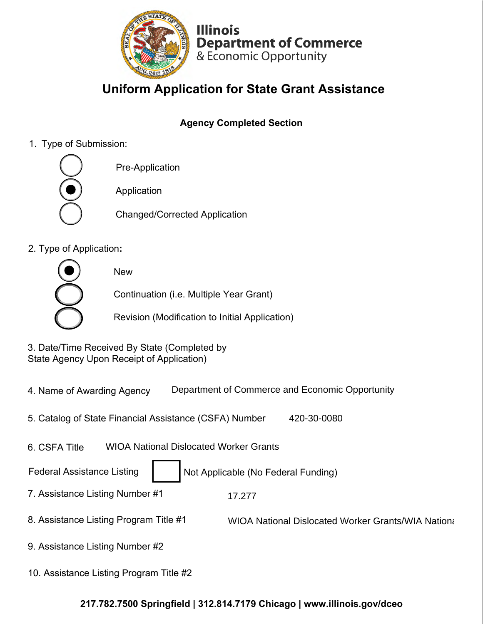

**Illinois Department of Commerce**  & Economic Opportunity

# **Uniform Application for State Grant Assistance**

## **Agency Completed Section**

1. Type of Submission:



2. Type of Application**:**

New Continuation (i.e. Multiple Year Grant) Revision (Modification to Initial Application)

3. Date/Time Received By State (Completed by State Agency Upon Receipt of Application)

- 4. Name of Awarding Agency Department of Commerce and Economic Opportunity
- 5. Catalog of State Financial Assistance (CSFA) Number 420-30-0080
- 6. CSFA Title WIOA National Dislocated Worker Grants

Federal Assistance Listing | Not Applicable (No Federal Funding)

- 7. Assistance Listing Number #1 17.277
- 8. Assistance Listing Program Title #1 WIOA National Dislocated Worker Grants/WIA National
- 9. Assistance Listing Number #2
- 10. Assistance Listing Program Title #2

#### **217.782.7500 Springfield | 312.814.7179 Chicago |<www.illinois.gov/dceo>**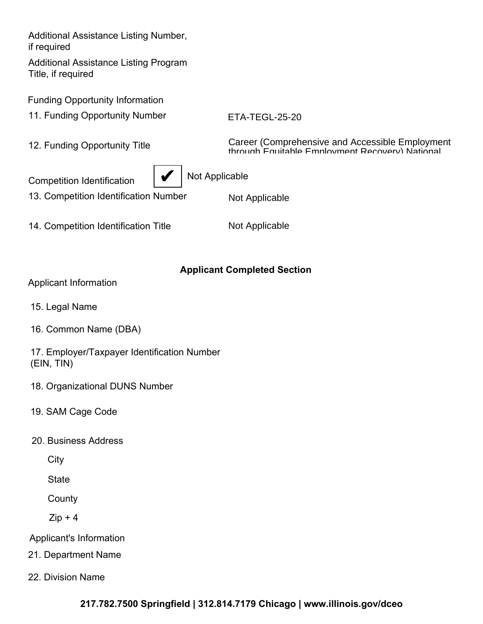Additional Assistance Listing Number, if required

Additional Assistance Listing Program Title, if required

Funding Opportunity Information

11. Funding Opportunity Number

ETA-TEGL-25-20

12. Funding Opportunity Title

Career (Comprehensive and Accessible Employment through Equitable Employment Recovery) National

Competition Identification  $\|\blacktriangledown\|$  Not Applicable



13. Competition Identification Number

14. Competition Identification Title

Not Applicable

### **Applicant Completed Section**

|  | Applicant Information |
|--|-----------------------|
|  |                       |

- 15. Legal Name
- 16. Common Name (DBA)

17. Employer/Taxpayer Identification Number (EIN, TIN)

- 18. Organizational DUNS Number
- 19. SAM Cage Code
- 20. Business Address

**City** 

**State** 

**County** 

 $Zip + 4$ 

Applicant's Information

21. Department Name

22. Division Name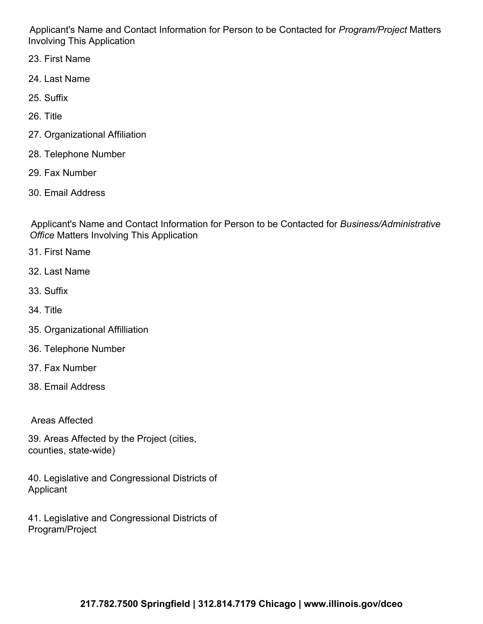Applicant's Name and Contact Information for Person to be Contacted for *Program/Project* Matters Involving This Application

- 23. First Name
- 24. Last Name
- 25. Suffix
- 26. Title
- 27. Organizational Affiliation
- 28. Telephone Number
- 29. Fax Number
- 30. Email Address

Applicant's Name and Contact Information for Person to be Contacted for *Business/Administrative Office* Matters Involving This Application

- 31. First Name
- 32. Last Name
- 33. Suffix
- 34. Title
- 35. Organizational Affilliation
- 36. Telephone Number
- 37. Fax Number
- 38. Email Address

Areas Affected

39. Areas Affected by the Project (cities, counties, state-wide)

40. Legislative and Congressional Districts of Applicant

41. Legislative and Congressional Districts of Program/Project